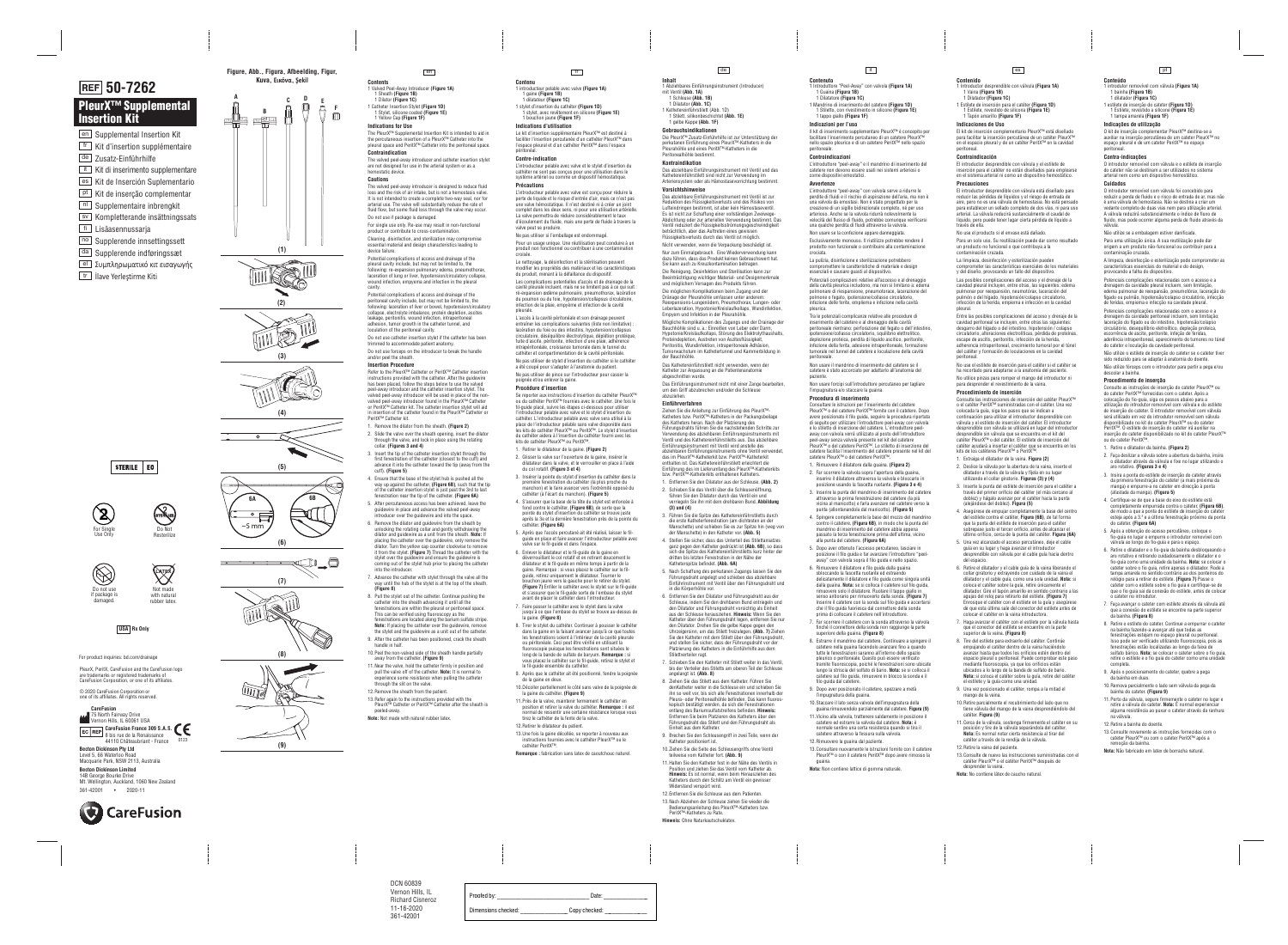- **Contents**  1 Valved Peel-Away Introducer **(Figure 1A)**  1 Sheath **(Figure 1B)**
- 1 Dilator **(Figure 1C)** 1 Catheter Insertion Stylet **(Figure 1D)**  1 Stylet, silicone coated **(Figure 1E)**
- 1 Yellow Cap **(Figure 1F)**

**Indications for Use**

The PleurX™ Supplemental Insertion Kit is intended to aid in the percutaneous insertion of a PleurX™ Catheter into the pleural space and PeritX™ Catheter into the peritoneal space. **Contraindication** 

The valved peel-away introducer and catheter insertion stylet are not designed for use in the arterial system or as a hemostatic device.

### **Cautions**

The valved peel-away introducer is designed to reduce fluid loss and the risk of air intake, but is not a hemostasis valve. It is not intended to create a complete two-way seal, nor for arterial use. The valve will substantially reduce the rate of fluid flow, but some fluid loss through the valve may occur. Do not use if package is damaged.

For single use only. Re-use may result in non-functional product or contribute to cross-contamination.

Do not use forceps on the introducer to break the handle and/or peel the sheath.

Cleaning, disinfection, and sterilization may compromise essential material and design characteristics leading to device failure.

Potential complications of access and drainage of the pleural cavity include, but may not be limited to, the following: re-expansion pulmonary edema, pneumothorax, laceration of lung or liver, hypotension/circulatory collapse, wound infection, empyema and infection in the pleural cavity.

Potential complications of access and drainage of the peritoneal cavity include, but may not be limited to, the following: laceration of liver or bowel, hypotension/circulatory collapse, electrolyte imbalance, protein depletion, ascites leakage, peritonitis, wound infection, intraperitoneal adhesion, tumor growth in the catheter tunnel, and loculation of the peritoneal cavity.

Do not use catheter insertion stylet if the catheter has been trimmed to accommodate patient anatomy.

### **Insertion Procedure**

Refer to the PleurX™ Catheter or PeritX™ Catheter insertion instructions provided with the catheter. After the guidewire has been placed, follow the steps below to use the valved peel-away introducer and the catheter insertion stylet. The valved peel-away introducer will be used in place of the nonvalved peel-away introducer found in the PleurX™ Catheter or PeritX™ Catheter kit. The catheter insertion stylet will aid in insertion of the catheter found in the PleurX™ Catheter or PeritX™ Catheter kit.

PleurX, PeritX, CareFusion and the CareFusion logo are trademarks or registered trademarks of For Single<br>
Use Only<br>
Do not use<br>
If package is<br> **22 Do not use**<br> **22 Do not use**<br> **22 Po not use**<br> **22 Po not use**<br> **22 Po not indicate**<br> **22 Po not indicate**<br> **22 Po not indicate**<br> **22 Po not use**<br> **22 Po not use**<br> **22 P** 

Do not use if package is damaged

**Recording the Common Section (7)**

- 1. Remove the dilator from the sheath. **(Figure 2)**
- 2. Slide the valve over the sheath opening, insert the dilator through the valve, and lock in place using the rotating collar. **(Figures 3 and 4)**
- 3. Insert the tip of the catheter insertion stylet through the first fenestration of the catheter (closest to the cuff) and advance it into the catheter toward the tip (away from the cuff). **(Figure 5)**
- 4. Ensure that the base of the stylet hub is pushed all the way up against the catheter, **(Figure 6B)**, such that the tip of the catheter insertion stylet is just past the 3rd to last fenestration near the tip of the catheter. **(Figure 6A)**
- 5. After percutaneous access has been achieved, leave the guidewire in place and advance the valved peel-away ntroducer over the guidewire and into the space.
- 6. Remove the dilator and guidewire from the sheath by unlocking the rotating collar and gently withdrawing the dilator and guidewire as a unit from the sheath. **Note:** If placing the catheter over the guidewire, only remove the dilator. Turn the yellow cap counter clockwise to remove it from the stylet. **(Figure 7)** Thread the catheter with the stylet over the guidewire and ensure the guidewire is coming out of the stylet hub prior to placing the catheter into the introducer.
- 7. Advance the catheter with stylet through the valve all the way until the hub of the stylet is at the top of the sheath. **(Figure 8)**
- 8. Pull the stylet out of the catheter. Continue pushing the catheter into the sheath advancing it until all the fenestrations are within the pleural or peritoneal space. This can be verified using fluoroscopy as the
- fenestrations are located along the barium sulfate stripe. **Note:** If placing the catheter over the guidewire, remove the stylet and the guidewire as a unit out of the catheter. 9. After the catheter has been positioned, crack the sheath
- handle in half. 10.Peel the non-valved side of the sheath handle partially away from the catheter. **(Figure 9)**
- 11.Near the valve, hold the catheter firmly in position and pull the valve off of the catheter. **Note:** It is normal to experience some resistance when pulling the catheter through the slit on the valve.
- 12.Remove the sheath from the patient.
- 13.Refer again to the instructions provided with the PleurX™ Catheter or PeritX™ Catheter after the sheath is peeled-away.
- **Note:** Not made with natural rubber latex.



# **PleurX™ Supplemental Insertion Kit**

- <sup>en ]</sup> Supplemental Insertion Kit <u>fr |</u> Kit d'insertion supplémentaire <sup>de |</sup> Zusatz-Einführhilfe it\_l Kit di inserimento supplementare <sup>es ]</sup> Kit de Inserción Suplementario <u><sup>pt ]</sup></u> Kit de inserção complementar <u>nI J</u> Supplementaire inbrengkit
- sv | Kompletterande insättningssats
- <sup>fi</sup>⊥ Lisäasennussarja
- <u>no |</u> Supplerende innsettingssett
- <sup>da |</sup> Supplerende indføringssæt
- <u>el ∫</u> Συμπληρωματικό κιτ εισαγωγής
- tr\_l llave Yerleştirme Kiti

# **50-7262**

**USA Rx Only**

© 2020 CareFusion Corporation or one of its affiliates. All rights reserved.

For Single Use Only



with natural<br>rubber latex.



STERILE | EO

**Figure, Abb., Figura, Afbeelding, Figur, Kuva, Εικόνα, Şekil**









**(8)**



- **Contenu**  1 introducteur pelable avec valve **(Figure 1A)**  1 gaine **(Figure 1B)**
- 1 dilatateur **(Figure 1C)**  1 stylet d'insertion du cathéter **(Figure 1D)**  1 stylet, avec revêtement en silicone **(Figure 1E)**
- 1 bouchon jaune **(Figure 1F) Indications d'utilisation**

Le kit d'insertion supplémentaire PleurX™ est destiné à faciliter l'insertion percutanée d'un cathéter PleurX™ dans l'espace pleural et d'un cathéter PeritX™ dans l'espace péritonéal.

### **Contre-indication**

L'introducteur pelable avec valve et le stylet d'insertion du cathéter ne sont pas conçus pour une utilisation dans le système artériel ou comme un dispositif hémostatique. **Précautions** 

L'introducteur pelable avec valve est conçu pour réduire la perte de liquide et le risque d'entrée d'air, mais ce n'est pas une valve hémostatique. Il n'est destiné ni à créer un joint complet dans les deux sens, ni pour une utilisation artérielle. La valve permettra de réduire considérablement le taux d'écoulement du fluide, mais une perte de fluide à travers la valve peut se produire.

Ne pas utiliser si l'emballage est endommagé. Pour un usage unique. Une réutilisation peut conduire à un produit non fonctionnel ou contribuer à une contamination croisée.

Le nettoyage, la désinfection et la stérilisation peuvent modifier les propriétés des matériaux et les caractéristiques du produit, menant à la défaillance du dispositif.

> nstrument mit Ventil wird anstelle des abziehbaren Einführungsinstruments ohne Ventil verwendet, das im PleurX™-Katheterkit bzw. PeritX™-Katheterkit enthalten ist. Das Kathetereinführstilett erleichtert die Einführung des im Lieferumfang des PleurX™-Katheterkits

Les complications potentielles d'accès et de drainage de la cavité pleurale incluent, mais ne se limitent pas à ce qui suit : ré-expansion œdème pulmonaire, pneumothorax, lacération du poumon ou du foie, hypotension/collapsus circulatoire, infection de la plaie, empyème et infection de la cavité pleurale.

L'accès à la cavité péritonéale et son drainage peuvent entraîner les complications suivantes (liste non limitative) : lacération du foie ou des intestins, hypotension/collapsus circulatoire, déséquilibre électrolytique, déplétion protéique, fuite d'ascite, péritonite, infection d'une plaie, adhérence intrapéritonéale, croissance tumorale dans le tunnel du cathéter et compartimentation de la cavité péritonéale.

Ne pas utiliser de stylet d'insertion du cathéter si le cathéter a été coupé pour s'adapter à l'anatomie du patient. Ne pas utiliser de pince sur l'introducteur pour casser la

### poignée et/ou enlever la gaine.

**Procédure d'insertion**  Se reporter aux instructions d'insertion du cathéter PleurX™ ou du cathéter PeritX™ fournies avec le cathéter. Une fois le fil-guide placé, suivre les étapes ci-dessous pour utiliser l'introducteur pelable avec valve et le stylet d'insertion du cathéter. L'introducteur pelable avec valve sera utilisé à la place de l'introducteur pelable sans valve disponible dans les kits de cathéter PleurX™ ou PeritX™. Le stylet d'insertion du cathéter aidera à l'insertion du cathéter fourni avec les kits de cathéter PleurX™ ou PeritX™.

- 1. Retirer le dilatateur de la gaine. **(Figure 2)**
- 2. Glisser la valve sur l'ouverture de la gaine, insérer le dilatateur dans la valve, et le verrouiller en place à l'aide du col rotatif. **(Figure 3 et 4)**
- 3. Insérer la pointe du stylet d'insertion du cathéter dans la première fenestration du cathéter (la plus proche du manchon) et le faire avancer vers l'extrémité opposé du cathéter (à l'écart du manchon). **(Figure 5)**  4. S'assurer que la base de la tête du stylet est enfoncée à
- fond contre le cathéter, **(Figure 6B)**, de sorte que la pointe du stylet d'insertion du cathéter se trouve juste après la 3e et la dernière fenestration près de la pointe du cathéter. **(Figure 6A)**  5. Après que l'accès percutané ait été réalisé, laisser le fil-
- guide en place et faire avancer l'introducteur pelable avec valve sur le fil-guide et dans l'espace.
- 6. Enlever le dilatateur et le fil-guide de la gaine en déverrouillant le col rotatif et en retirant doucement le dilatateur et le fil-guide en même temps à partir de la gaine. Remarque : si vous placez le cathéter sur le filguide, retirez uniquement le dilatateur. Tourner le bouchon jaune vers la gauche pour le retirer du stylet. **(Figure 7)** Enfiler le cathéter avec le stylet sur le fil-guide et s'assurer que le fil-guide sorte de l'embase du stylet avant de placer le cathéter dans l'introducteur.
- 7. Faire passer le cathéter avec le stylet dans la valve jusqu'à ce que l'embase du stylet se trouve au-dessus de la gaine. **(Figure 8)**
- 8. Tirer le stylet du cathéter. Continuer à pousser le cathéter dans la gaine en la faisant avancer jusqu'à ce que toutes les fenestrations soient à l'intérieur de la cavité pleurale ou péritonéale. Ceci peut être vérifié en utilisant la fluoroscopie puisque les fenestrations sont situées le long de la bande de sulfate de baryum. **Remarque :** si vous placez le cathéter sur le fil-guide, retirez le stylet et le fil-guide ensemble du cathéter.
- 9. Après que le cathéter ait été positionné, fendre la poignée de la gaine en deux.
- 10.Décoller partiellement le côté sans valve de la poignée de la gaine du cathéter. **(Figure 9)**  11.Près de la valve, maintenir fermement le cathéter en
- position et retirer la valve du cathéter. **Remarque :** il est normal de ressentir une certaine résistance lorsque vous tirez le cathéter de la fente de la valve. 12.Retirer le dilatateur du patient.
- 13.Une fois la gaine décollée, se reporter à nouveau aux instructions fournies avec le cathéter PleurX™ ou le cathéter PeritX™.
- **Remarque :** fabrication sans latex de caoutchouc naturel.



fr

**Inhalt** 

### 1 Abziehbares Einführungsinstrument (Introducer) mit Ventil **(Abb. 1A)**

1 Schleuse **(Abb. 1B)**  1 Dilatator **(Abb. 1C)** 

1 Kathetereinführstilett (Abb. 1D) 1 Stilett, silikonbeschichtet **(Abb. 1E)**  1 gelbe Kappe **(Abb. 1F)** 

## **Gebrauchsindikationen**

Die PleurX™ Zusatz-Einführhilfe ist zur Unterstützung der perkutanen Einführung eines PleurX™-Katheters in die Pleurahöhle und eines PeritX™-Katheters in die Peritonealhöhle bestimmt.

#### **Kontraindikation**

8 bis rue de la Renaissance 44110 Châteaubriant - France 0123

Das abziehbare Einführungsinstrument mit Ventil und das Kathetereinführstilett sind nicht zur Verwendung im Arteriensystem oder als Hämostasevorrichtung bestimmt.

### **Vorsichtshinweise**

Das abziehbare Einführungsinstrument mit Ventil ist zur Reduktion des Flüssigkeitsverlusts und des Risikos von Lufteindringen bestimmt, ist aber kein Hämostaseventil. Es ist nicht zur Schaffung einer vollständigen Zweiwege-Abdichtung oder zur arteriellen Verwendung bestimmt. Das Ventil reduziert die Flüssigkeitsströmungsgeschwindigkeit beträchtlich, aber das Auftreten eines gewissen Flüssigkeitsverlusts durch das Ventil ist möglich.

Nicht verwenden, wenn die Verpackung beschädigt ist. Nur zum Einmalgebrauch. Eine Wiederverwendung kann dazu führen, dass das Produkt keinen Gebrauchswert hat. Sie kann auch zu Kreuzkontamination beitragen.

Die Reinigung, Desinfektion und Sterilisation kann zur Beeinträchtigung wichtiger Material- und Designmerkmale und möglichem Versagen des Produkts führen.

Die möglichen Komplikationen beim Zugang und der Dränage der Pleurahöhle umfassen unter anderem: Reexpansions-Lungenödem, Pneumothorax, Lungen- oder Leberlazeration, Hypotonie/Kreislaufkollaps, Wundinfektion, Empyem und Infektion in der Pleurahöhle.

Mögliche Komplikationen des Zugangs und der Drainage der Bauchhöhle sind u. a.: Einreißen von Leber oder Darm Hypotonie/Kreislaufkollaps, Störung des Elektrolythaushalts, Proteindepletion, Austreten von Aszitesflüssigkeit, Peritonitis, Wundinfektion, intraperitoneale Adhäsion, Tumorwachstum im Kathetertunnel und Kammerbildung in der Bauchhöhle.

Das Kathetereinführstilett nicht verwenden, wenn der Katheter zur Anpassung an die Patientenanatomie abgeschnitten wurde.

Das Einführungsinstrument nicht mit einer Zange bearbeiten, um den Griff abzubrechen und/oder die Schleuse abzuziehen.

### **Einführverfahren**

Ziehen Sie die Anleitung zur Einführung des PleurX™- Katheters bzw. PeritX™-Katheters in der Packungsbeilage des Katheters heran. Nach der Platzierung des Führungsdrahts führen Sie die nachstehenden Schritte zur Verwendung des abziehbaren Einführungsinstruments mit Ventil und des Kathetereinführstiletts aus. Das abziehbare

bzw. PeritX™-Katheterkits enthaltenen Katheters. 1. Entfernen Sie den Dilatator aus der Schleuse. **(Abb. 2)** 

2. Schieben Sie das Ventil über die Schleusenöffnung, führen Sie den Dilatator durch das Ventil ein und verriegeln Sie ihn mit dem drehbaren Bund. **Abbildung** 

**(3) und (4)**  3. Führen Sie die Spitze des Kathetereinführstiletts durch die erste Katheterfenestration (am dichtesten an der Manschette) und schieben Sie es zur Spitze hin (weg von

der Manschette) in den Katheter vor. **(Abb. 5)**  4. Stellen Sie sicher, dass das Unterteil des Stilettansatzes ganz gegen den Katheter gedrückt ist **(Abb. 6B)**, so dass sich die Spitze des Kathetereinführstiletts kurz hinter der

dritten bis letzten Fenestration in der Nähe der Katheterspitze befindet. **(Abb. 6A)** 

5. Nach Schaffung des perkutanen Zugangs lassen Sie den Führungsdraht angelegt und schieben das abziehbare Einführinstrument mit Ventil über den Führungsdraht und in die Körperhöhle vor.

6. Entfernen Sie den Dilatator und Führungsdraht aus der Schleuse, indem Sie den drehbaren Bund entriegeln und den Dilatator und Führungsdraht vorsichtig als Einheit aus der Schleuse herausziehen. **Hinweis:** Wenn Sie den Katheter über den Führungsdraht legen, entfernen Sie nur den Dilatator. Drehen Sie die gelbe Kappe gegen den Uhrzeigersinn, um das Stilett freizulegen. **(Abb. 7)** Ziehen Sie den Katheter mit dem Stilett über den Führungsdraht, und stellen Sie sicher, dass der Führungsdraht vor der Platzierung des Katheters in die Einführhilfe aus dem Stilettverteiler ragt.

7. Schieben Sie den Katheter mit Stilett weiter in das Ventil, bis der Verteiler des Stiletts am oberen Teil der Schleuse angelangt ist. **(Abb. 8)** 

8. Ziehen Sie das Stilett aus dem Katheter. Führen Sie denKatheter weiter in die Schleuse ein und schieben Sie ihn so weit vor, bis sich alle Fenestrationen innerhalb der Pleura- oder Peritonealhöhle befinden. Das kann fluoroskopisch bestätigt werden, da sich die Fenestrationen entlang des Bariumsulfatstreifens befinden. **Hinweis:**  Entfernen Sie beim Platzieren des Katheters über den Führungsdraht das Stilett und den Führungsdraht als Einheit aus dem Katheter.

9. Brechen Sie den Schleusengriff in zwei Teile, wenn der Katheter positioniert ist.

10.Ziehen Sie die Seite des Schleusengriffs ohne Ventil teilweise vom Katheter fort. **(Abb. 9)**

11.Halten Sie den Katheter fest in der Nähe des Ventils in Position und ziehen Sie das Ventil vom Katheter ab. **Hinweis:** Es ist normal, wenn beim Herausziehen des Katheters durch den Schlitz am Ventil ein gewisser Widerstand verspürt wird.

12.Entfernen Sie die Schleuse aus dem Patienten. 13.Nach Abziehen der Schleuse ziehen Sie wieder die Bedienungsanleitung des PleurX™-Katheters bzw. PeritX™-Katheters zu Rate.

**Hinweis:** Ohne Naturkautschuklatex.

**Contenuto**  1 Introduttore "Peel-Away" con valvola **(Figura 1A)**  1 Guaina **(Figura 1B)**  1 Dilatatore **(Figura 1C)** 

1 Mandrino di inserimento del catetere **(Figura 1D)** 1 Stiletto, con rivestimento in silicone **(Figura 1E)** 

### 1 tappo giallo **(Figura 1F)**

**Indicazioni per l'uso** 

Il kit di inserimento supplementare PleurX™ è concepito per facilitare l'inserimento percutaneo di un catetere PleurX™ nello spazio pleurico e di un catetere PeritX™ nello spazio peritoneale.

### **Controindicazioni**

L'introduttore "peel-away" e il mandrino di inserimento del catetere non devono essere usati nei sistemi arteriosi o come dispositivi emostatici.

### **Avvertenze**

L'introduttore "peel-away" con valvola serve a ridurre le perdite di fluidi e il rischio di aspirazione dell'aria, ma non è una valvola da emostasi. Non è stato progettato per la creazione di un sigillo bidirezionale completo, né per uso arterioso. Anche se la valvola ridurrà notevolmente la velocità del flusso di fluido, potrebbe comunque verificarsi una qualche perdita di fluidi attraverso la valvola.

Non usare se la confezione appare danneggiata. Esclusivamente monouso. Il riutilizzo potrebbe rendere il prodotto non funzionale o contribuire alla contaminazione crociata.

La pulizia, disinfezione e sterilizzazione potrebbero compromettere le caratteristiche di materiale e design essenziali e causare guasti al dispositivo.

Potenziali complicazioni relative all'accesso e al drenaggio della cavità pleurica includono, ma non si limitano a: edema polmonare di riespansione, pneumotorace, lacerazione del polmone o fegato, ipotensione/collasso circolatorio, infezione delle ferite, empliema e infezione nella cavità pleurica.

#### Tra le potenziali complicanze relative alle procedure di inserimento del catetere e al drenaggio della cavità

peritoneale rientrano: perforazione del fegato o dell'intestino, ipotensione/collasso circolatorio, squilibrio elettrolitico, deplezione proteica, perdita di liquido ascitico, peritonite, infezione della ferita, adesione intraperitoneale, formazione tumorale nel tunnel del catetere e loculazione della cavità peritoneale.

Non usare il mandrino di inserimento del catetere se il catetere è stato accorciato per adattarlo all'anatomia del paziente.

Non usare forcipi sull'introduttore percutaneo per tagliare l'impugnatura e/o staccare la guaina.

#### **Procedura di inserimento**

Consultare le istruzioni per l'inserimento del catetere PleurX™ o del catetere PeritX™ fornite con il catetere. Dopo avere posizionato il filo guida, seguire la procedura riportata di seguito per utilizzare l'introduttore peel-away con valvola e lo stiletto di inserzione del catetere. L'introduttore peelaway con valvola verrà utilizzato al posto dell'introduttore peel-away senza valvola presente nel kit del catetere PleurX™ o del catetere PeritX™. Lo stiletto di inserzione del catetere facilita l'inserimento del catetere presente nel kit del catetere PleurX™ o del catetere PeritX™.

- 1. Rimuovere il dilatatore dalla guaina. **(Figura 2)**  2. Far scorrere la valvola sopra l'apertura della guaina,
- inserire il dilatatore attraverso la valvola e bloccarlo in posizione usando la fascetta ruotante. **(Figura 3 e 4)**  3. Inserire la punta del mandrino di inserimento del catetere attraverso la prima fenestrazione del catetere (la più
- vicina al manicotto) e farla avanzare nel catetere verso la punta (allontanandola dal manicotto). **(Figura 5)**  4. Spingere completamente la base del mozzo del mandrino
- contro il catetere, **(Figura 6B)**, in modo che la punta del mandrino di inserimento del catetere abbia appena passato la terza fenestrazione prima dell'ultima, vicino alla punta del catetere. **(Figura 6A)**
- 5. Dopo aver ottenuto l'accesso percutaneo, lasciare in posizione il filo guida e far avanzare l'introduttore "peelaway" con valvola sopra il filo guida e nello spazio.
- 6. Rimuovere il dilatatore e filo guida dalla guaina sbloccando la fascetta ruotante ed estraendo delicatamente il dilatatore e filo guida come singola unità dalla guaina. **Nota:** se si colloca il catetere sul filo guida, rimuovere solo il dilatatore. Ruotare il tappo giallo in senso antiorario per rimuoverlo dalla sonda. **(Figura 7)**  Inserire il catetere con la sonda sul filo guida e accertarsi che il filo guida fuoriesca dal connettore della sonda
- prima di collocare il catetere nell'introduttore. 7. Far scorrere il catetere con la sonda attraverso la valvola finché il connettore della sonda non raggiunge la parte superiore della guaina. **(Figura 8)**
- 8. Estrarre il mandrino dal catetere. Continuare a spingere il catetere nella guaina facendolo avanzare fino a quando tutte le fenestrazioni saranno all'interno dello spazio pleurico o peritoneale. Questo può essere verificato tramite fluoroscopia, poiché le fenestrazioni sono ubicate lungo la striscia del solfato di bario. **Nota:** se si colloca il catetere sul filo guida, rimuovere in blocco la sonda e il filo guida dal catetere.
- 9. Dopo aver posizionato il catetere, spezzare a metà l'impugnatura della guaina.
- 10.Staccare il lato senza valvola dell'impugnatura della guaina rimuovendolo parzialmente dal catetere. **Figura (9)**  11.Vicino alla valvola, trattenere saldamente in posizione il
- catetere ed estrarre la valvola dal catetere. **Nota:** è normale sentire una certa resistenza quando si tira il catetere attraverso la fessura sulla valvola. 12.Rimuovere la guaina dal paziente.
- 13.Consultare nuovamente le istruzioni fornite con il catetere PleurX™ o con il catetere PeritX™ dopo avere rimosso la guaina.

**Nota:** Non contiene lattice di gomma naturale.

## it



**Becton Dickinson Pty Ltd** Level 5, 66 Waterloo Road Macquarie Park, NSW 2113, Australia **Becton Dickinson Limited**

14B George Bourke Drive Mt. Wellington, Auckland, 1060 New Zealand 361-42001 • 2020-11



**Contenido**  1 Introductor desprendible con válvula **(Figura 1A)** 

- 1 Vaina **(Figura 1B)**  1 Dilatador **(Figura 1C)**
- 1 Estilete de inserción para el catéter **(Figura 1D)** 1 Estilete, revestido de silicona **(Figura 1E)**  1 Tapón amarillo **(Figura 1F)**

### **Indicaciones de Uso**

El kit de inserción complementario PleurX™ está diseñado para facilitar la inserción percutánea de un catéter PleurX™ en el espacio pleural y de un catéter PeritX™ en la cavidad peritoneal.

#### **Contraindicación**

El introductor desprendible con válvula y el estilete de inserción para el catéter no están diseñados para emplearse en el sistema arterial ni como un dispositivo hemostático. **Precauciones** 

El introductor desprendible con válvula está diseñado para reducir las pérdidas de líquidos y el riesgo de entrada de aire, pero no es una válvula de hemostasia. No está pensado para establecer un sellado completo de dos vías, ni para uso arterial. La válvula reducirá sustancialmente el caudal de líquido, pero puede tener lugar cierta pérdida de líquido a

través de ella. No use el producto si el envase está dañado.

Para un solo uso. Su reutilización puede dar como resultado un producto no funcional o que contribuya a la contaminación cruzada.

La limpieza, desinfección y esterilización pueden comprometer las características esenciales de los materiales y del diseño, provocando un fallo del dispositivo.

Las posibles complicaciones del acceso y el drenaje de la cavidad pleural incluyen, entre otras, las siguientes: edema pulmonar por reexpansión, neumotórax, laceración del pulmón o del hígado, hipotensión/colapso circulatorio, infección de la herida, empiema e infección en la cavidad pleural.

Entre las posibles complicaciones del acceso y drenaje de la cavidad peritoneal se incluyen, entre otras las siguientes: desgarro del hígado o del intestino, hipotensión / colapso circulatorio, alteraciones electrolíticas, pérdida de proteínas, escape de ascitis, peritonitis, infección de la herida, adherencia intraperitoneal, crecimiento tumoral por el túnel del catéter y formación de loculaciones en la cavidad peritoneal.

No use el estilete de inserción para el catéter si el catéter se ha recortado para adaptarse a la anatomía del paciente. No utilice pinzas para romper el mango del introductor ni para desprender el revestimiento de la vaina.

#### **Procedimiento de inserción**

Consulte las instrucciones de inserción del catéter PleurX™ o el catéter PeritX™ suministradas con el catéter. Una vez colocada la guía, siga los pasos que se indican a continuación para utilizar el introductor desprendible con válvula y el estilete de inserción del catéter. El introductor desprendible con válvula se utilizará en lugar del introductor desprendible sin válvula que se encuentra en el kit del catéter PleurX™ o del catéter. El estilete de inserción del catéter ayudará a insertar el catéter que se encuentra en los kits de los catéteres PleurX™ o PeritX™.

- 1. Extraiga el dilatador de la vaina. **Figura (2)**
- 2. Deslice la válvula por la abertura de la vaina, inserte el dilatador a través de la válvula y fíjela en su lugar utilizando el collar giratorio. **Figuras (3) y (4)**
- 3. Inserte la punta del estilete de inserción para el catéter a través del primer orificio del catéter (el más cercano al doblez) y hágalo avanzar por el catéter hacia la punta (alejándose del doblez). **Figura (5)**
- 4. Asegúrese de empujar completamente la base del centro del estilete contra el catéter, **Figura (6B)**, de tal forma que la punta del estilete de inserción para el catéter sobrepase justo el tercer orificio, antes de alcanzar el último orificio, cerca de la punta del catéter. **Figura (6A)**
- 5. Una vez alcanzado el acceso percutáneo, deje el cable guía en su lugar y haga avanzar el introductor desprendible con válvula por el cable guía hacia dentro del espacio.
- 6. Retire el dilatador y el cable guía de la vaina liberando el collar giratorio y extrayendo con cuidado de la vaina el dilatador y el cable guía, como una sola unidad. **Nota:** si coloca el catéter sobre la guía, retire únicamente el dilatador. Gire el tapón amarillo en sentido contrario a las agujas del reloj para retirarlo del estilete. **(Figura 7)** Enrosque el catéter con el estilete en la guía y asegúrese de que esta última sale del conector del estilete antes de colocar el catéter en la vaina introductora.
- 7. Haga avanzar el catéter con el estilete por la válvula hasta que el conector del estilete se encuentre en la parte superior de la vaina. **(Figura 8)**
- 8. Tire del estilete para extraerlo del catéter. Continúe empujando el catéter dentro de la vaina haciéndolo avanzar hasta que todos los orificios estén dentro del espacio pleural o peritoneal. Puede comprobar este paso mediante fluoroscopia, ya que los orificios están ubicados a lo largo de la banda de sulfato de bario. **Nota:** si coloca el catéter sobre la guía, retire del catéter el estilete y la guía como una unidad.
- 9. Una vez posicionado el catéter, rompa a la mitad el mango de la vaina.
- 10.Retire parcialmente el recubrimiento del lado que no tiene válvula del mango de la vaina desprendiéndolo del catéter. **Figura (9)**
- 11.Cerca de la válvula, sostenga firmemente el catéter en su posición y tire de la válvula separándola del catéter. **Nota:** Es normal notar cierta resistencia al tirar del catéter a través de la rendija de la válvula.
- 12.Retire la vaina del paciente.
- 13.Consulte de nuevo las instrucciones suministradas con el catéter PleurX™ o el catéter PeritX™ después de desprender la vaina.
- **Nota:** No contiene látex de caucho natural.

es

**Conteúdo**  1 introdutor removível com válvula **(Figura 1A)**  1 bainha **(Figura 1B)**

1 dilatador **(Figura 1C)**  1 estilete de inserção do cateter **(Figura 1D)** 

1 Estilete, revestido a silicone **(Figura 1E)**  1 tampa amarela **(Figura 1F) Indicações de utilização** 

O kit de inserção complementar PleurX™ destina-se a auxiliar na inserção percutânea de um cateter PleurX™ no espaço pleural e de um cateter PeritX™ no espaço

peritoneal.

**Contra-indicações** 

O introdutor removível com válvula e o estilete de inserção do cateter não se destinam a ser utilizados no sistema arterial nem como um dispositivo hemostático.

**Cuidados** 

O introdutor removível com válvula foi concebido para reduzir a perda de fluido e o risco de entrada de ar, mas não é uma válvula de hemostasia. Não se destina a criar um vedante completo de duas vias nem para utilização arterial. A válvula reduzirá substancialmente o índice de fluxo de fluido, mas pode ocorrer alguma perda de fluido através da

válvula.

Não utilize se a embalagem estiver danificada. Para uma utilização única. A sua reutilização pode dar origem a um produto não-funcional ou contribuir para a

contaminação cruzada.

A limpeza, desinfecção e esterilização pode comprometer as características essenciais do material e do design,

provocando a falha do dispositivo.

Potenciais complicações relacionadas com o acesso e a drenagem da cavidade pleural incluem, sem limitação, edema pulmonar de reexpansão, pneumotórax, laceração do fígado ou pulmão, hipotensão/colapso circulatório, infecção de feridas, empiema e infecção na cavidade pleural. Potenciais complicações relacionadas com o acesso e a drenagem da cavidade peritoneal incluem, sem limitação: laceração do fígado ou do intestino, hipotensão/colapso circulatório, desequilíbrio eletrolítico, depleção proteica, escorrência de ascite, peritonite, infeção de feridas, aderência intraperitoneal, aparecimento de tumores no túnel

do cateter e loculação da cavidade peritoneal.

Não utilize o estilete de inserção do cateter se o cateter tiver sido reduzido para se adaptar à anatomia do doente. Não utilize fórceps com o introdutor para partir a pega e/ou

descolar a bainha.

**Procedimento de inserção** 

Consulte as instruções de inserção do cateter PleurX™ ou do cateter PeritX™ fornecidas com o cateter. Após a colocação do fio-guia, siga os passos abaixo para a utilização do introdutor removível com válvula e do estilete de inserção do cateter. O introdutor removível com válvula será utilizado em vez do introdutor removível sem válvula disponibilizado no kit do cateter PleurX™ ou do cateter PeritX™. O estilete de inserção do cateter irá auxiliar na inserção do cateter disponibilizado no kit do cateter PleurX™

ou do cateter PeritX™.

1. Retire o dilatador da bainha. **(Figura 2)** 

2. Faça deslizar a válvula sobre a abertura da bainha, insira o dilatador através da válvula e fixe no lugar utilizando o

aro rotativo. **(Figuras 3 e 4)** 

3. Insira a ponta do estilete de inserção do cateter através da primeira fenestração do cateter (a mais próxima da manga) e empurre-a no cateter em direcção à ponta

(afastada da manga). **(Figura 5)** 

4. Certifique-se de que a base do eixo do estilete está completamente empurrada contra o cateter, **(Figura 6B)**, de modo a que a ponta do estilete de inserção do cateter esteja após a 3.ª e a última fenestração próximo da ponta

do cateter. **(Figura 6A)** 

o cateter no introduto

5. Após a obtenção do acesso percutâneo, coloque o fio-guia no lugar e empurre o introdutor removível com válvula ao longo do fio-guia e para o espaço. 6. Retire o dilatador e o fio-guia da bainha desbloqueando o aro rotativo e retirando cuidadosamente o dilatador e o fio-guia como uma unidade da bainha. **Nota:** se colocar o cateter sobre o fio guia, retire apenas o dilatador. Rode a tampa amarela no sentido contrário ao dos ponteiros do relógio para a retirar do estilete. **(Figura 7)** Passe o cateter com o estilete sobre o fio guia e certifique-se de que o fio guia sai da conexão do estilete, antes de colocar

7. Faça avançar o cateter com estilete através da válvula até que a conexão do estilete se encontre na parte superior

da bainha. **(Figura 8)** 

8. Retire o estilete do cateter. Continue a empurrar o cateter na bainha fazendo-a avançar até que todas as fenestrações estejam no espaço pleural ou peritoneal. Isso pode ser verificado utilizando fluoroscopia, pois as fenestrações estão localizadas ao longo da faixa de sulfato bárico. **Nota:** se colocar o cateter sobre o fio guia, retire o estilete e o fio guia do cateter como uma unidade

completa.

9. Após o posicionamento do cateter, quebre a pega

da bainha em duas.

10.Remova parcialmente o lado sem válvula da pega da

bainha do cateter. **(Figura 9)** 

11.Perto da válvula, segure firmemente o cateter no lugar e retire a válvula do cateter. **Nota:** É normal experienciar alguma resistência ao puxar o cateter através da ranhura

na válvula.

12.Retire a bainha do doente.

13.Consulte novamente as instruções fornecidas com o cateter PleurX™ ou com o cateter PeritX™ após a

remoção da bainha.

**Nota:** Não fabricado em latex de borracha natural.

### pt

For product inquiries: bd.com/drainage